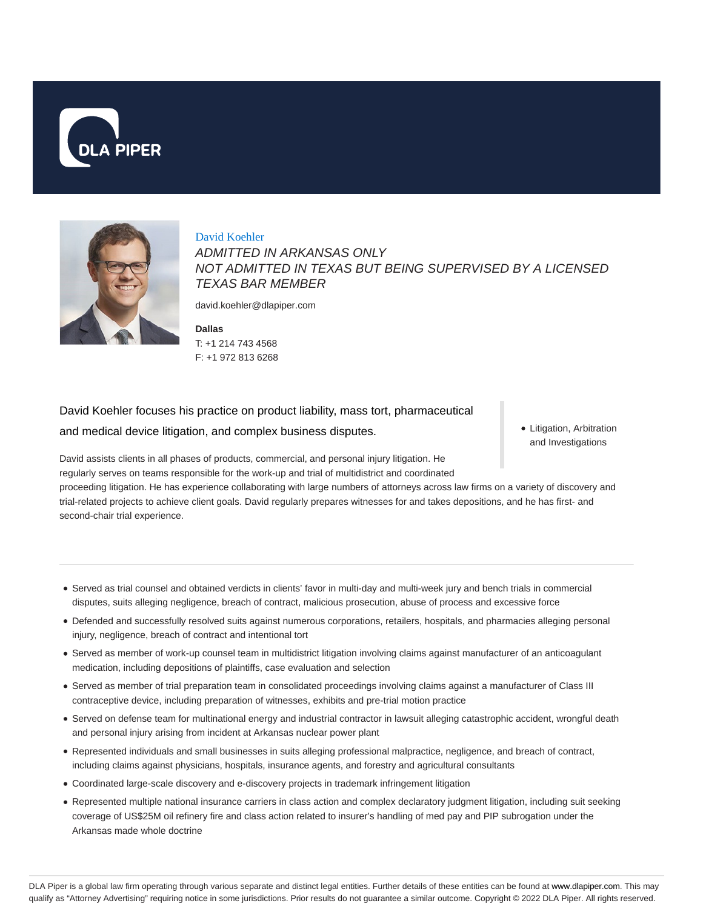



David Koehler ADMITTED IN ARKANSAS ONLY NOT ADMITTED IN TEXAS BUT BEING SUPERVISED BY A LICENSED TEXAS BAR MEMBER

david.koehler@dlapiper.com

**Dallas** T: +1 214 743 4568 F: +1 972 813 6268

David Koehler focuses his practice on product liability, mass tort, pharmaceutical and medical device litigation, and complex business disputes.

David assists clients in all phases of products, commercial, and personal injury litigation. He regularly serves on teams responsible for the work-up and trial of multidistrict and coordinated

proceeding litigation. He has experience collaborating with large numbers of attorneys across law firms on a variety of discovery and trial-related projects to achieve client goals. David regularly prepares witnesses for and takes depositions, and he has first- and second-chair trial experience.

Served as trial counsel and obtained verdicts in clients' favor in multi-day and multi-week jury and bench trials in commercial disputes, suits alleging negligence, breach of contract, malicious prosecution, abuse of process and excessive force

- Defended and successfully resolved suits against numerous corporations, retailers, hospitals, and pharmacies alleging personal injury, negligence, breach of contract and intentional tort
- Served as member of work-up counsel team in multidistrict litigation involving claims against manufacturer of an anticoagulant medication, including depositions of plaintiffs, case evaluation and selection
- Served as member of trial preparation team in consolidated proceedings involving claims against a manufacturer of Class III contraceptive device, including preparation of witnesses, exhibits and pre-trial motion practice
- Served on defense team for multinational energy and industrial contractor in lawsuit alleging catastrophic accident, wrongful death and personal injury arising from incident at Arkansas nuclear power plant
- Represented individuals and small businesses in suits alleging professional malpractice, negligence, and breach of contract, including claims against physicians, hospitals, insurance agents, and forestry and agricultural consultants
- Coordinated large-scale discovery and e-discovery projects in trademark infringement litigation
- Represented multiple national insurance carriers in class action and complex declaratory judgment litigation, including suit seeking coverage of US\$25M oil refinery fire and class action related to insurer's handling of med pay and PIP subrogation under the Arkansas made whole doctrine

• Litigation, Arbitration and Investigations